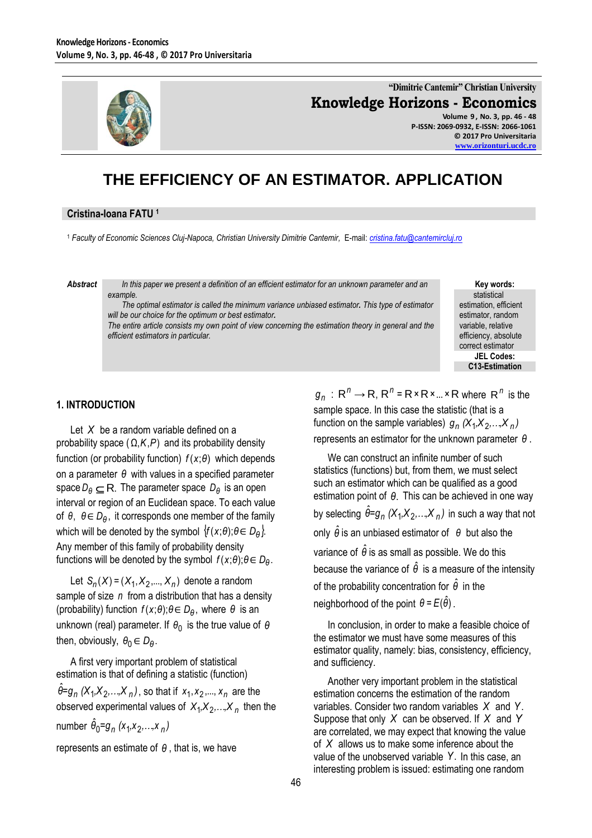

**"Dimitrie Cantemir" Christian University Knowledge Horizons - Economics**

**Volume 9 , No. 3, pp. 46 - 48 P-ISSN: 2069-0932, E-ISSN: 2066-1061 © 2017 Pro Universitaria [www.orizonturi.ucdc.ro](http://www.orizonturi.ucdc.ro/)**

# **THE EFFICIENCY OF AN ESTIMATOR. APPLICATION**

#### **Cristina-Ioana FATU <sup>1</sup>**

<sup>1</sup> *Faculty of Economic Sciences Cluj-Napoca, Christian University Dimitrie Cantemir,* E-mail: *[cristina.fatu@cantemircluj.ro](mailto:cristina.fatu@cantemircluj.ro)*

*Abstract In this paper we present a definition of an efficient estimator for an unknown parameter and an example.* 

> *The optimal estimator is called the minimum variance unbiased estimator. This type of estimator will be our choice for the optimum or best estimator.*

> *The entire article consists my own point of view concerning the estimation theory in general and the efficient estimators in particular.*

**Key words:** statistical estimation, efficient estimator, random variable, relative efficiency, absolute correct estimator **JEL Codes: C13-Estimation**

#### **1. INTRODUCTION**

Let *X* be a random variable defined on a probability space  $(\Omega, K, P)$  and its probability density function (or probability function) *f* (*x*;*θ*) which depends on a parameter *θ* with values in a specified parameter  $\mathsf{space}\ D_\theta\subseteq\mathsf{R}.$  The parameter space  $D_\theta$  is an open interval or region of an Euclidean space. To each value of θ, θ∈ D<sub>θ</sub>, it corresponds one member of the family which will be denoted by the symbol  $\{f(x; \theta) ; \theta \in D_{\theta}\}.$ Any member of this family of probability density functions will be denoted by the symbol  $f(x; \theta)$ ; $\theta \in D_{\theta}$ .

Let  $S_n(X) = (X_1, X_2, ..., X_n)$  denote a random sample of size n from a distribution that has a density (probability) function  $f(x; \theta)$ ; $\theta \in D_{\theta}$ , where  $\theta$  is an unknown (real) parameter. If 0 *θ* is the true value of *θ* then, obviously,  $\theta_0 \in D_\theta$ .

A first very important problem of statistical estimation is that of defining a statistic (function)  $\hat{\theta}$ = $g_{n}$  (Χ<sub>1</sub>,Χ<sub>2</sub>,…,Χ<sub>n</sub>), so that if *x*<sub>1</sub>,*x*<sub>2</sub>,..., *x<sub>n</sub>* are the observed experimental values of  $X_1, X_2, \ldots, X_n$  then the number *θ =g (x ,<sup>x</sup> ,…,<sup>x</sup> )* <sup>0</sup> *<sup>n</sup>* <sup>1</sup> <sup>2</sup> *<sup>n</sup>* ˆ

represents an estimate of *θ* , that is, we have

 $g_n$   $:$  R<sup>n</sup>  $\rightarrow$  R, R<sup>n</sup> = R × R × ... × R where R<sup>n</sup> is the sample space. In this case the statistic (that is a function on the sample variables)  $g_n$  (X<sub>1</sub>,X<sub>2</sub>,...,X<sub>n</sub>) represents an estimator for the unknown parameter *θ* .

We can construct an infinite number of such statistics (functions) but, from them, we must select such an estimator which can be qualified as a good estimation point of *θ*. This can be achieved in one way by selecting  $\hat{\theta} = g_n \left( X_1, \! X_2, \! ... , \! X_n \right)$  in such a way that not only  $\hat{\theta}$  is an unbiased estimator of *θ* but also the variance of  $\hat{\theta}$  is as small as possible. We do this because the variance of  $\hat{\theta}$  is a measure of the intensity of the probability concentration for *θ* ˆ in the neighborhood of the point  $\theta$  =  $E(\hat{\theta})$  .

In conclusion, in order to make a feasible choice of the estimator we must have some measures of this estimator quality, namely: bias, consistency, efficiency, and sufficiency.

Another very important problem in the statistical estimation concerns the estimation of the random variables. Consider two random variables *X* and *Y*. Suppose that only *X* can be observed. If *X* and *Y* are correlated, we may expect that knowing the value of *X* allows us to make some inference about the value of the unobserved variable *Y*. In this case, an interesting problem is issued: estimating one random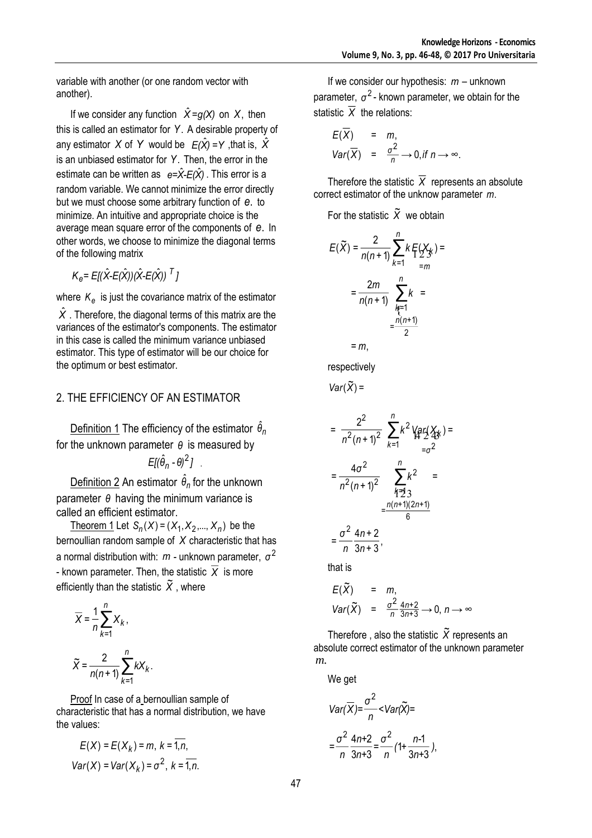variable with another (or one random vector with another).

If we consider any function  $\hat{X} = g(X)$  on X, then this is called an estimator for *Y*. A desirable property of any estimator  $X$  of  $Y$  would be  $E(\hat{X}) = Y$  ,that is,  $\hat{X}$ is an unbiased estimator for *Y*. Then, the error in the estimate can be written as  $e=\hat{X}-E(\hat{X})$ . This error is a random variable. We cannot minimize the error directly but we must choose some arbitrary function of *e*. to minimize. An intuitive and appropriate choice is the average mean square error of the components of *e*. In other words, we choose to minimize the diagonal terms of the following matrix

$$
K_e = E[(\hat{X} - E(\hat{X})) (\hat{X} - E(\hat{X}))^T]
$$

where  $\kappa_{e}$  is just the covariance matrix of the estimator

 $\hat{X}$  . Therefore, the diagonal terms of this matrix are the variances of the estimator's components. The estimator in this case is called the minimum variance unbiased estimator. This type of estimator will be our choice for the optimum or best estimator.

## 2. THE EFFICIENCY OF AN ESTIMATOR

<u>Definition 1</u> The efficiency of the estimator  $θ$ <sub>*n*</sub> for the unknown parameter *θ* is measured by *E[(*θ̂<sub>n</sub> - θ)<sup>2</sup> ]  $(\hat{\theta}_n - \theta)^2$ ].

Definition 2 An estimator  $\hat{\theta}_n$  for the unknown parameter *θ* having the minimum variance is called an efficient estimator.

<u>Theorem 1</u> Let  $S_n(X) = (X_1, X_2, ..., X_n)$  be the bernoullian random sample of *X* characteristic that has a normal distribution with:  $m$  - unknown parameter,  $\sigma^2$ - known parameter. Then, the statistic *X* is more efficiently than the statistic  $\,\tilde{X}$  , where

$$
\overline{X} = \frac{1}{n} \sum_{k=1}^{n} X_k,
$$
  

$$
\widetilde{X} = \frac{2}{n(n+1)} \sum_{k=1}^{n} k X_k.
$$

Proof In case of a bernoullian sample of characteristic that has a normal distribution, we have the values:

$$
E(X) = E(Xk) = m, k = \overline{1, n},
$$
  
Var(X) = Var(X<sub>k</sub>) =  $\sigma^2$ , k =  $\overline{1, n}$ .

If we consider our hypothesis: *<sup>m</sup>* – unknown parameter,  $\sigma^2$ - known parameter, we obtain for the statistic *X* the relations:

$$
E(\overline{X}) = m,
$$
  
\n
$$
Var(\overline{X}) = \frac{\sigma^2}{n} \to 0, \text{if } n \to \infty.
$$

Therefore the statistic *X* represents an absolute correct estimator of the unknow parameter *m*.

For the statistic  $\widetilde{X}$  we obtain

$$
E(\tilde{X}) = \frac{2}{n(n+1)} \sum_{k=1}^{n} k \mathbb{E}(X_k) =
$$
  
= 
$$
\frac{2m}{n(n+1)} \sum_{\substack{k=1 \ n \neq 1}}^{n} k =
$$
  
= 
$$
\frac{n(n+1)}{2}
$$
  
= m,

respectively

) <sup>=</sup> ~ *Var*(*X*

$$
= \frac{2^2}{n^2(n+1)^2} \sum_{k=1}^n k^2 \sqrt{ar}(\frac{x}{4}) =
$$
  

$$
= \frac{4\sigma^2}{n^2(n+1)^2} \sum_{\substack{p=1 \ p(n+1)(2n+1) \\ p \equiv n}}^n k^2 =
$$
  

$$
= \frac{n(n+1)(2n+1)}{6}
$$
  

$$
= \frac{\sigma^2}{n} \frac{4n+2}{3n+3},
$$

that is

$$
E(\widetilde{X}) = m,
$$
  
Var( $\widetilde{X}$ ) =  $\frac{\sigma^2}{n} \frac{4n+2}{3n+3} \to 0, n \to \infty$ 

Therefore, also the statistic  $\widetilde{X}$  represents an absolute correct estimator of the unknown parameter *m*.

We get

$$
Var(\overline{X}) = \frac{\sigma^2}{n} < Var(\widetilde{X}) =
$$

$$
= \frac{\sigma^2}{n} \frac{4n+2}{3n+3} = \frac{\sigma^2}{n} \left(1 + \frac{n-1}{3n+3}\right),
$$